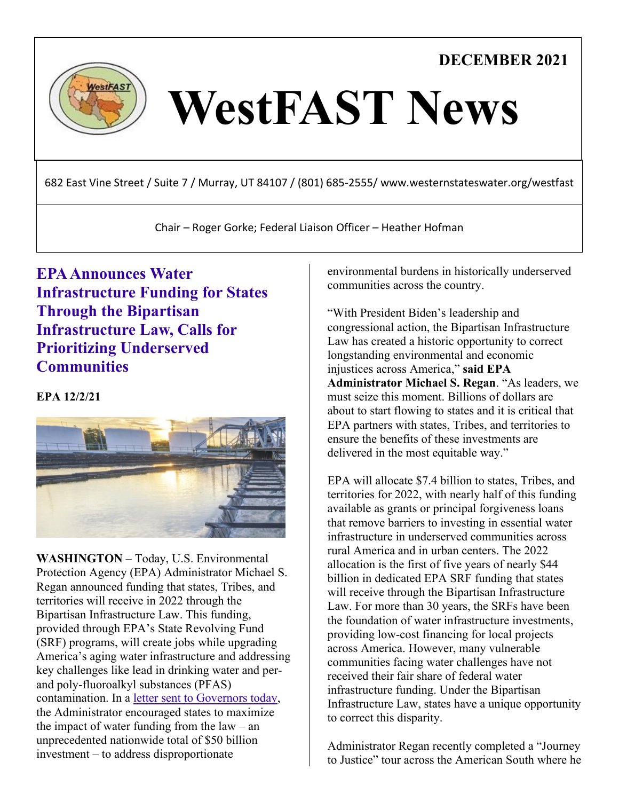**DECEMBER 2021**



# WestFAST News

682 East Vine Street / Suite 7 / Murray, UT 84107 / (801) 685-2555/ www.westernstateswater.org/westfast

Chair – Roger Gorke; Federal Liaison Officer – Heather Hofman

**[EPA Announces Water](https://www.epa.gov/newsreleases/epa-announces-water-infrastructure-funding-states-through-bipartisan-infrastructure)  [Infrastructure Funding for States](https://www.epa.gov/newsreleases/epa-announces-water-infrastructure-funding-states-through-bipartisan-infrastructure)  [Through the Bipartisan](https://www.epa.gov/newsreleases/epa-announces-water-infrastructure-funding-states-through-bipartisan-infrastructure)  [Infrastructure Law, Calls for](https://www.epa.gov/newsreleases/epa-announces-water-infrastructure-funding-states-through-bipartisan-infrastructure)  [Prioritizing Underserved](https://www.epa.gov/newsreleases/epa-announces-water-infrastructure-funding-states-through-bipartisan-infrastructure)  [Communities](https://www.epa.gov/newsreleases/epa-announces-water-infrastructure-funding-states-through-bipartisan-infrastructure)**

## **EPA 12/2/21**



**WASHINGTON** – Today, U.S. Environmental Protection Agency (EPA) Administrator Michael S. Regan announced funding that states, Tribes, and territories will receive in 2022 through the Bipartisan Infrastructure Law. This funding, provided through EPA's State Revolving Fund (SRF) programs, will create jobs while upgrading America's aging water infrastructure and addressing key challenges like lead in drinking water and perand poly-fluoroalkyl substances (PFAS) contamination. In a [letter sent to Governors today,](https://www.epa.gov/system/files/documents/2021-12/governors-bil-letter-final-508.pdf) the Administrator encouraged states to maximize the impact of water funding from the  $law - an$ unprecedented nationwide total of \$50 billion investment – to address disproportionate

environmental burdens in historically underserved communities across the country.

"With President Biden's leadership and congressional action, the Bipartisan Infrastructure Law has created a historic opportunity to correct longstanding environmental and economic injustices across America," **said EPA Administrator Michael S. Regan**. "As leaders, we must seize this moment. Billions of dollars are about to start flowing to states and it is critical that EPA partners with states, Tribes, and territories to ensure the benefits of these investments are delivered in the most equitable way."

EPA will allocate \$7.4 billion to states, Tribes, and territories for 2022, with nearly half of this funding available as grants or principal forgiveness loans that remove barriers to investing in essential water infrastructure in underserved communities across rural America and in urban centers. The 2022 allocation is the first of five years of nearly \$44 billion in dedicated EPA SRF funding that states will receive through the Bipartisan Infrastructure Law. For more than 30 years, the SRFs have been the foundation of water infrastructure investments, providing low-cost financing for local projects across America. However, many vulnerable communities facing water challenges have not received their fair share of federal water infrastructure funding. Under the Bipartisan Infrastructure Law, states have a unique opportunity to correct this disparity.

Administrator Regan recently completed a "Journey to Justice" tour across the American South where he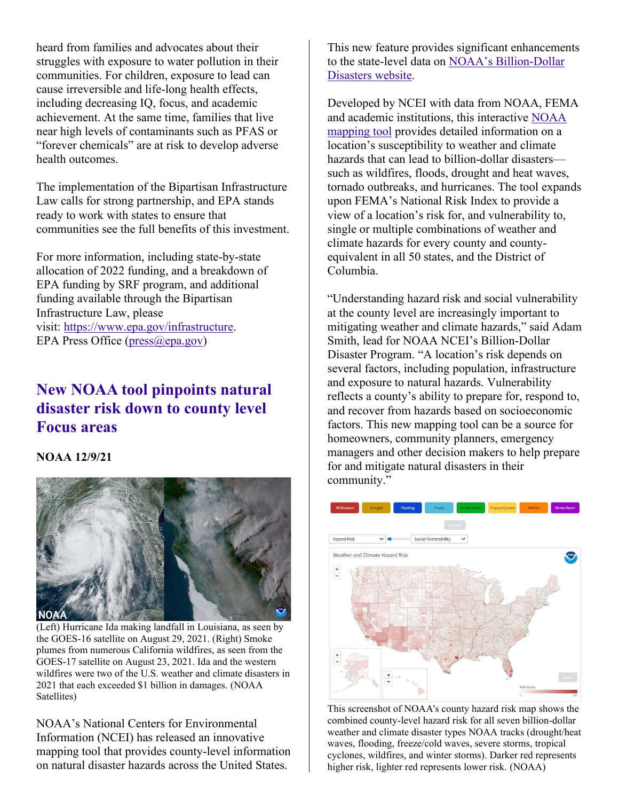heard from families and advocates about their struggles with exposure to water pollution in their communities. For children, exposure to lead can cause irreversible and life-long health effects, including decreasing IQ, focus, and academic achievement. At the same time, families that live near high levels of contaminants such as PFAS or "forever chemicals" are at risk to develop adverse health outcomes.

The implementation of the Bipartisan Infrastructure Law calls for strong partnership, and EPA stands ready to work with states to ensure that communities see the full benefits of this investment.

For more information, including state-by-state allocation of 2022 funding, and a breakdown of EPA funding by SRF program, and additional funding available through the Bipartisan Infrastructure Law, please visit: [https://www.epa.gov/infrastructure.](https://www.epa.gov/infrastructure) EPA Press Office [\(press@epa.gov\)](mailto:press@epa.gov)

## **[New NOAA tool pinpoints natural](https://www.noaa.gov/news-release/new-noaa-tool-pinpoints-natural-disaster-risk-down-to-county-level)  [disaster risk down to county level](https://www.noaa.gov/news-release/new-noaa-tool-pinpoints-natural-disaster-risk-down-to-county-level) [Focus areas](https://www.noaa.gov/news-release/new-noaa-tool-pinpoints-natural-disaster-risk-down-to-county-level)**

### **NOAA 12/9/21**



(Left) Hurricane Ida making landfall in Louisiana, as seen by the GOES-16 satellite on August 29, 2021. (Right) Smoke plumes from numerous California wildfires, as seen from the GOES-17 satellite on August 23, 2021. Ida and the western wildfires were two of the U.S. weather and climate disasters in 2021 that each exceeded \$1 billion in damages. (NOAA Satellites)

NOAA's National Centers for Environmental Information (NCEI) has released an innovative mapping tool that provides county-level information on natural disaster hazards across the United States.

This new feature provides significant enhancements to the state-level data on [NOAA's Billion-Dollar](https://www.ncdc.noaa.gov/billions/)  [Disasters website.](https://www.ncdc.noaa.gov/billions/)

Developed by NCEI with data from NOAA, FEMA and academic institutions, this interactive [NOAA](https://www.ncdc.noaa.gov/billions/mapping)  [mapping tool](https://www.ncdc.noaa.gov/billions/mapping) provides detailed information on a location's susceptibility to weather and climate hazards that can lead to billion-dollar disasters such as wildfires, floods, drought and heat waves, tornado outbreaks, and hurricanes. The tool expands upon FEMA's National Risk Index to provide a view of a location's risk for, and vulnerability to, single or multiple combinations of weather and climate hazards for every county and countyequivalent in all 50 states, and the District of Columbia.

"Understanding hazard risk and social vulnerability at the county level are increasingly important to mitigating weather and climate hazards," said Adam Smith, lead for NOAA NCEI's Billion-Dollar Disaster Program. "A location's risk depends on several factors, including population, infrastructure and exposure to natural hazards. Vulnerability reflects a county's ability to prepare for, respond to, and recover from hazards based on socioeconomic factors. This new mapping tool can be a source for homeowners, community planners, emergency managers and other decision makers to help prepare for and mitigate natural disasters in their community."



This screenshot of NOAA's county hazard risk map shows the combined county-level hazard risk for all seven billion-dollar weather and climate disaster types NOAA tracks (drought/heat waves, flooding, freeze/cold waves, severe storms, tropical cyclones, wildfires, and winter storms). Darker red represents higher risk, lighter red represents lower risk. (NOAA)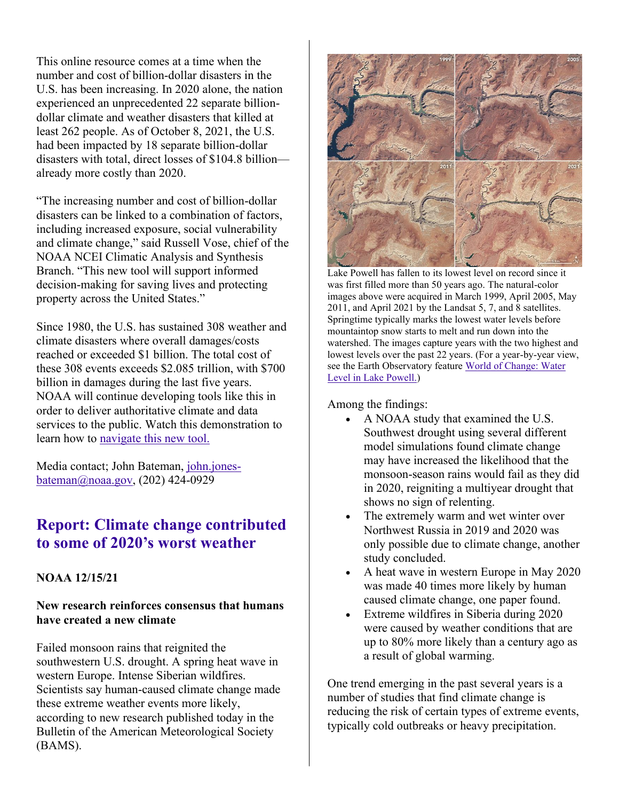This online resource comes at a time when the number and cost of billion-dollar disasters in the U.S. has been increasing. In 2020 alone, the nation experienced an unprecedented 22 separate billiondollar climate and weather disasters that killed at least 262 people. As of October 8, 2021, the U.S. had been impacted by 18 separate billion-dollar disasters with total, direct losses of \$104.8 billion already more costly than 2020.

"The increasing number and cost of billion-dollar disasters can be linked to a combination of factors, including increased exposure, social vulnerability and climate change," said Russell Vose, chief of the NOAA NCEI Climatic Analysis and Synthesis Branch. "This new tool will support informed decision-making for saving lives and protecting property across the United States."

Since 1980, the U.S. has sustained 308 weather and climate disasters where overall damages/costs reached or exceeded \$1 billion. The total cost of these 308 events exceeds \$2.085 trillion, with \$700 billion in damages during the last five years. NOAA will continue developing tools like this in order to deliver authoritative climate and data services to the public. Watch this demonstration to learn how to [navigate this new tool.](https://www.youtube.com/watch?v=ceDNaGuECY0)

Media contact; John Bateman, [john.jones](mailto:john.jones-bateman@noaa.gov)[bateman@noaa.gov,](mailto:john.jones-bateman@noaa.gov) (202) 424-0929

## **[Report: Climate change contributed](https://www.noaa.gov/news-release/report-climate-change-contributed-to-some-of-2020s-worst-weather)  [to some of 2020's worst weather](https://www.noaa.gov/news-release/report-climate-change-contributed-to-some-of-2020s-worst-weather)**

### **NOAA 12/15/21**

#### **New research reinforces consensus that humans have created a new climate**

Failed monsoon rains that reignited the southwestern U.S. drought. A spring heat wave in western Europe. Intense Siberian wildfires. Scientists say human-caused climate change made these extreme weather events more likely, according to new research published today in the Bulletin of the American Meteorological Society (BAMS).



Lake Powell has fallen to its lowest level on record since it was first filled more than 50 years ago. The natural-color images above were acquired in March 1999, April 2005, May 2011, and April 2021 by the Landsat 5, 7, and 8 satellites. Springtime typically marks the lowest water levels before mountaintop snow starts to melt and run down into the watershed. The images capture years with the two highest and lowest levels over the past 22 years. (For a year-by-year view, see the Earth Observatory feature [World of Change: Water](http://earthobservatory.nasa.gov/Features/WorldOfChange/lake_powell.php)  [Level in Lake Powell.\)](http://earthobservatory.nasa.gov/Features/WorldOfChange/lake_powell.php)

Among the findings:

- A NOAA study that examined the U.S. Southwest drought using several different model simulations found climate change may have increased the likelihood that the monsoon-season rains would fail as they did in 2020, reigniting a multiyear drought that shows no sign of relenting.
- The extremely warm and wet winter over Northwest Russia in 2019 and 2020 was only possible due to climate change, another study concluded.
- A heat wave in western Europe in May 2020 was made 40 times more likely by human caused climate change, one paper found.
- Extreme wildfires in Siberia during 2020 were caused by weather conditions that are up to 80% more likely than a century ago as a result of global warming.

One trend emerging in the past several years is a number of studies that find climate change is reducing the risk of certain types of extreme events, typically cold outbreaks or heavy precipitation.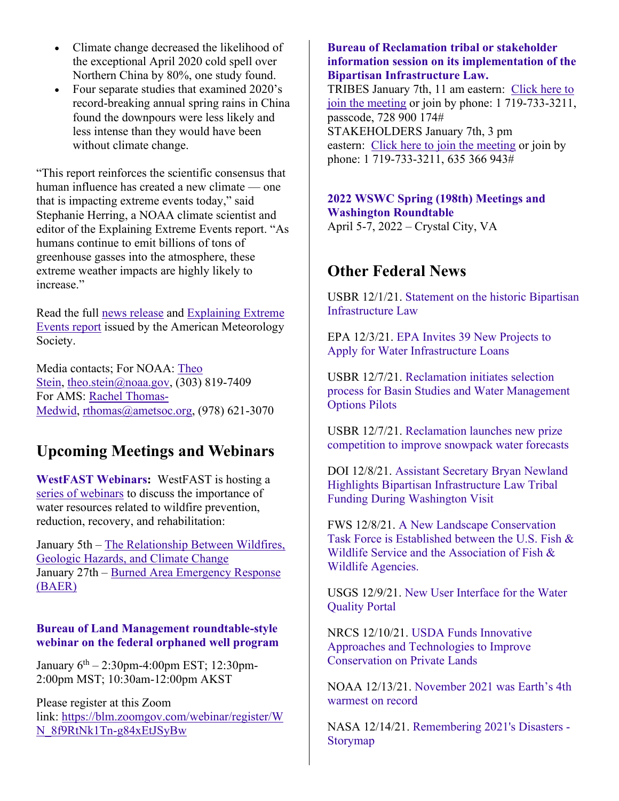- Climate change decreased the likelihood of the exceptional April 2020 cold spell over Northern China by 80%, one study found.
- Four separate studies that examined 2020's record-breaking annual spring rains in China found the downpours were less likely and less intense than they would have been without climate change.

"This report reinforces the scientific consensus that human influence has created a new climate — one that is impacting extreme events today," said Stephanie Herring, a NOAA climate scientist and editor of the Explaining Extreme Events report. "As humans continue to emit billions of tons of greenhouse gasses into the atmosphere, these extreme weather impacts are highly likely to increase."

Read the full [news release](https://www.ametsoc.org/index.cfm/ams/index.cfm?LinkServID=70089D43-9F60-96A1-B1D60D06753D2B7D) and [Explaining Extreme](https://www.ametsoc.org/ams/index.cfm/publications/bulletin-of-the-american-meteorological-society-bams/explaining-extreme-events-from-a-climate-perspective/)  [Events report](https://www.ametsoc.org/ams/index.cfm/publications/bulletin-of-the-american-meteorological-society-bams/explaining-extreme-events-from-a-climate-perspective/) issued by the American Meteorology Society.

Media contacts; For NOAA: [Theo](mailto:theo.stein@noaa.gov)  [Stein,](mailto:theo.stein@noaa.gov) [theo.stein@noaa.gov,](mailto:theo.stein@noaa.gov)  $(303)$  819-7409 For AMS: [Rachel Thomas-](mailto:rthomas@ametsoc.org)[Medwid,](mailto:rthomas@ametsoc.org) [rthomas@ametsoc.org,](mailto:rthomas@ametsoc.org) (978) 621-3070

## **Upcoming Meetings and Webinars**

**[WestFAST Webinars:](https://westernstateswater.org/westfast/)** WestFAST is hosting a [series of webinars](https://westernstateswater.org/upcoming-westfast-webinars/) to discuss the importance of water resources related to wildfire prevention, reduction, recovery, and rehabilitation:

January 5th – [The Relationship Between Wildfires,](https://westernstateswater.org/?post_type=mec-events&p=22137&preview=true)  [Geologic Hazards, and Climate Change](https://westernstateswater.org/?post_type=mec-events&p=22137&preview=true) January 27th – [Burned Area Emergency Response](https://westernstateswater.org/events/burned-area-emergency-response-baer/)  [\(BAER\)](https://westernstateswater.org/events/burned-area-emergency-response-baer/)

### **[Bureau of Land Management roundtable-style](https://www.blm.gov/press-release/bureau-land-management-host-webinar-orphaned-well-program)  [webinar on the federal orphaned well program](https://www.blm.gov/press-release/bureau-land-management-host-webinar-orphaned-well-program)**

January 6<sup>th</sup> – 2:30pm-4:00pm EST; 12:30pm-2:00pm MST; 10:30am-12:00pm AKST

Please register at this Zoom link: [https://blm.zoomgov.com/webinar/register/W](https://gcc02.safelinks.protection.outlook.com/?url=https%3A%2F%2Fblm.zoomgov.com%2Fwebinar%2Fregister%2FWN_8f9RtNk1Tn-g84xEtJSyBw&data=04%7C01%7Cmcrandal%40blm.gov%7Ca45da84043284607447c08d9c4db7d64%7C0693b5ba4b184d7b9341f32f400a5494%7C0%7C0%7C637757269262259019%7CUnknown%7CTWFpbGZsb3d8eyJWIjoiMC4wLjAwMDAiLCJQIjoiV2luMzIiLCJBTiI6Ik1haWwiLCJXVCI6Mn0%3D%7C3000&sdata=xAbKICpy7aIUA1LkZ4FtJ1fGEjMjUdViLkX6Jiqqnt8%3D&reserved=0) [N\\_8f9RtNk1Tn-g84xEtJSyBw](https://gcc02.safelinks.protection.outlook.com/?url=https%3A%2F%2Fblm.zoomgov.com%2Fwebinar%2Fregister%2FWN_8f9RtNk1Tn-g84xEtJSyBw&data=04%7C01%7Cmcrandal%40blm.gov%7Ca45da84043284607447c08d9c4db7d64%7C0693b5ba4b184d7b9341f32f400a5494%7C0%7C0%7C637757269262259019%7CUnknown%7CTWFpbGZsb3d8eyJWIjoiMC4wLjAwMDAiLCJQIjoiV2luMzIiLCJBTiI6Ik1haWwiLCJXVCI6Mn0%3D%7C3000&sdata=xAbKICpy7aIUA1LkZ4FtJ1fGEjMjUdViLkX6Jiqqnt8%3D&reserved=0)

#### **[Bureau of Reclamation tribal or stakeholder](https://www.usbr.gov/bil/#IS)  [information session on its implementation of the](https://www.usbr.gov/bil/#IS)  [Bipartisan Infrastructure Law.](https://www.usbr.gov/bil/#IS)**

TRIBES January 7th, 11 am eastern: [Click here to](https://teams.microsoft.com/l/meetup-join/19%3ameeting_YzY0YjZiNjEtOWQwNy00Yjk3LThlZjQtZmE0ZDAxN2JmZTlk%40thread.v2/0?context=%7b%22Tid%22%3a%220693b5ba-4b18-4d7b-9341-f32f400a5494%22%2c%22Oid%22%3a%22388b569b-9117-49f0-b6f1-cd12ff0587b0%22%7d)  [join the meeting](https://teams.microsoft.com/l/meetup-join/19%3ameeting_YzY0YjZiNjEtOWQwNy00Yjk3LThlZjQtZmE0ZDAxN2JmZTlk%40thread.v2/0?context=%7b%22Tid%22%3a%220693b5ba-4b18-4d7b-9341-f32f400a5494%22%2c%22Oid%22%3a%22388b569b-9117-49f0-b6f1-cd12ff0587b0%22%7d) or join by phone: 1 719-733-3211, passcode, 728 900 174# STAKEHOLDERS January 7th, 3 pm eastern: [Click here to join the meeting](https://teams.microsoft.com/l/meetup-join/19%3ameeting_YmVkNTA3MzEtZDdjOS00YmRhLTk3YTEtMmJkZDA5MzVjMzA2%40thread.v2/0?context=%7b%22Tid%22%3a%220693b5ba-4b18-4d7b-9341-f32f400a5494%22%2c%22Oid%22%3a%22388b569b-9117-49f0-b6f1-cd12ff0587b0%22%7d) or join by phone: 1 719-733-3211, 635 366 943#

#### **[2022 WSWC Spring \(198th\) Meetings and](https://westernstateswater.org/events/2022-wswc-spring-198th-meetings-and-washington-roundtable/)  [Washington Roundtable](https://westernstateswater.org/events/2022-wswc-spring-198th-meetings-and-washington-roundtable/)** April 5-7, 2022 – Crystal City, VA

## **Other Federal News**

USBR 12/1/21. [Statement on the historic Bipartisan](https://www.usbr.gov/newsroom/#/news-release/4049)  [Infrastructure Law](https://www.usbr.gov/newsroom/#/news-release/4049)

EPA 12/3/21. [EPA Invites 39 New Projects to](https://www.epa.gov/newsreleases/epa-invites-39-new-projects-apply-water-infrastructure-loans)  [Apply for Water Infrastructure Loans](https://www.epa.gov/newsreleases/epa-invites-39-new-projects-apply-water-infrastructure-loans)

USBR 12/7/21. [Reclamation initiates selection](https://www.usbr.gov/newsroom/#/news-release/4053)  [process for Basin Studies and Water Management](https://www.usbr.gov/newsroom/#/news-release/4053)  [Options Pilots](https://www.usbr.gov/newsroom/#/news-release/4053)

USBR 12/7/21. [Reclamation launches new prize](https://www.usbr.gov/newsroom/#/news-release/4055)  [competition to improve snowpack water forecasts](https://www.usbr.gov/newsroom/#/news-release/4055)

DOI 12/8/21. [Assistant Secretary Bryan Newland](https://www.doi.gov/pressreleases/assistant-secretary-bryan-newland-highlights-bipartisan-infrastructure-law-tribal)  [Highlights Bipartisan Infrastructure Law Tribal](https://www.doi.gov/pressreleases/assistant-secretary-bryan-newland-highlights-bipartisan-infrastructure-law-tribal)  [Funding During Washington Visit](https://www.doi.gov/pressreleases/assistant-secretary-bryan-newland-highlights-bipartisan-infrastructure-law-tribal)

FWS 12/8/21. [A New Landscape Conservation](https://www.fws.gov/news/ShowNews.cfm?ref=%0Aa%2Dnew%2Dlandscape%2Dconservation%2Dtask%2Dforce%2Dis%2Destablished%2Dbetween%2Dthe%2Dus%2D&_ID=37061)  [Task Force is Established between the U.S. Fish &](https://www.fws.gov/news/ShowNews.cfm?ref=%0Aa%2Dnew%2Dlandscape%2Dconservation%2Dtask%2Dforce%2Dis%2Destablished%2Dbetween%2Dthe%2Dus%2D&_ID=37061)  [Wildlife Service and the Association of Fish &](https://www.fws.gov/news/ShowNews.cfm?ref=%0Aa%2Dnew%2Dlandscape%2Dconservation%2Dtask%2Dforce%2Dis%2Destablished%2Dbetween%2Dthe%2Dus%2D&_ID=37061)  [Wildlife Agencies.](https://www.fws.gov/news/ShowNews.cfm?ref=%0Aa%2Dnew%2Dlandscape%2Dconservation%2Dtask%2Dforce%2Dis%2Destablished%2Dbetween%2Dthe%2Dus%2D&_ID=37061)

USGS 12/9/21. [New User Interface for the Water](https://waterdata.usgs.gov/blog/wqp_newui/)  [Quality Portal](https://waterdata.usgs.gov/blog/wqp_newui/)

NRCS 12/10/21. [USDA Funds Innovative](https://www.nrcs.usda.gov/wps/portal/nrcs/detail/national/newsroom/releases/?cid=NRCSEPRD1855307)  [Approaches and Technologies to Improve](https://www.nrcs.usda.gov/wps/portal/nrcs/detail/national/newsroom/releases/?cid=NRCSEPRD1855307)  [Conservation on Private Lands](https://www.nrcs.usda.gov/wps/portal/nrcs/detail/national/newsroom/releases/?cid=NRCSEPRD1855307)

NOAA 12/13/21. [November 2021 was Earth's 4th](https://www.noaa.gov/news/november-2021-was-earths-4th-warmest-on-record)  [warmest on record](https://www.noaa.gov/news/november-2021-was-earths-4th-warmest-on-record)

NASA 12/14/21. [Remembering 2021's Disasters -](https://storymaps.arcgis.com/stories/8c59c6688e6441da8e42cf3f178d9d89) [Storymap](https://storymaps.arcgis.com/stories/8c59c6688e6441da8e42cf3f178d9d89)